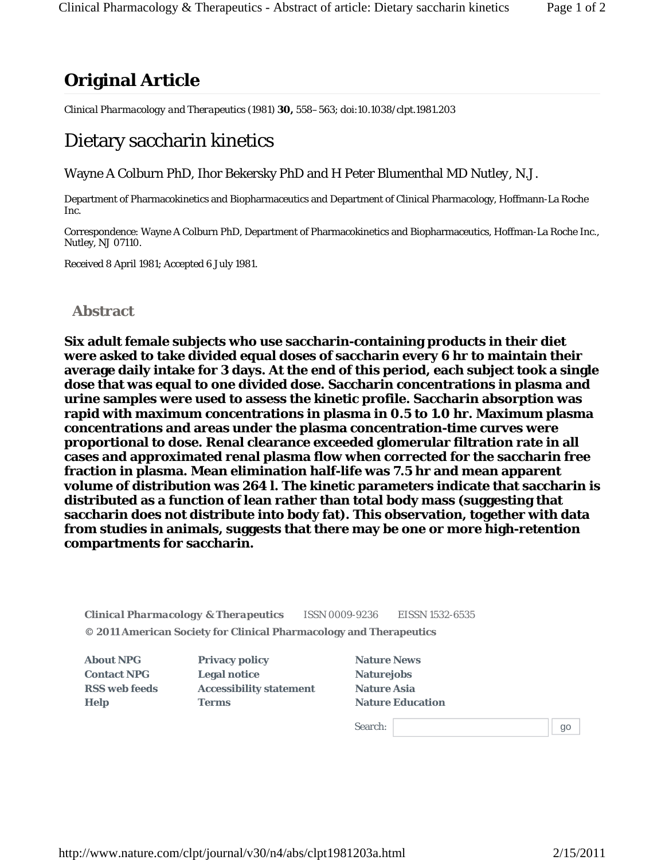*Clinical Pharmacology and Therapeutics* (1981) **30,** 558–563; doi:10.1038/clpt.1981.203

## Dietary saccharin kinetics

Wayne A Colburn PhD, Ihor Bekersky PhD and H Peter Blumenthal MD *Nutley, N.J.*

Department of Pharmacokinetics and Biopharmaceutics and Department of Clinical Pharmacology, Hoffmann-La Roche Inc.

Correspondence: Wayne A Colburn PhD, Department of Pharmacokinetics and Biopharmaceutics, Hoffman-La Roche Inc., Nutley, NJ 07110.

Received 8 April 1981; Accepted 6 July 1981.

## **Abstract**

**Six adult female subjects who use saccharin-containing products in their diet were asked to take divided equal doses of saccharin every 6 hr to maintain their average daily intake for 3 days. At the end of this period, each subject took a single dose that was equal to one divided dose. Saccharin concentrations in plasma and urine samples were used to assess the kinetic profile. Saccharin absorption was rapid with maximum concentrations in plasma in 0.5 to 1.0 hr. Maximum plasma concentrations and areas under the plasma concentration-time curves were proportional to dose. Renal clearance exceeded glomerular filtration rate in all cases and approximated renal plasma flow when corrected for the saccharin free fraction in plasma. Mean elimination half-life was 7.5 hr and mean apparent volume of distribution was 264 l. The kinetic parameters indicate that saccharin is distributed as a function of lean rather than total body mass (suggesting that saccharin does not distribute into body fat). This observation, together with data from studies in animals, suggests that there may be one or more high-retention compartments for saccharin.**

*Clinical Pharmacology & Therapeutics* ISSN 0009-9236 EISSN 1532-6535 **© 2011 American Society for Clinical Pharmacology and Therapeutics**

**About NPG Contact NPG RSS web feeds Help**

**Privacy policy Legal notice Accessibility statement Terms**

| <b>Nature News</b>      |
|-------------------------|
| <b>Naturejobs</b>       |
| <b>Nature Asia</b>      |
| <b>Nature Education</b> |
|                         |

Search: 9